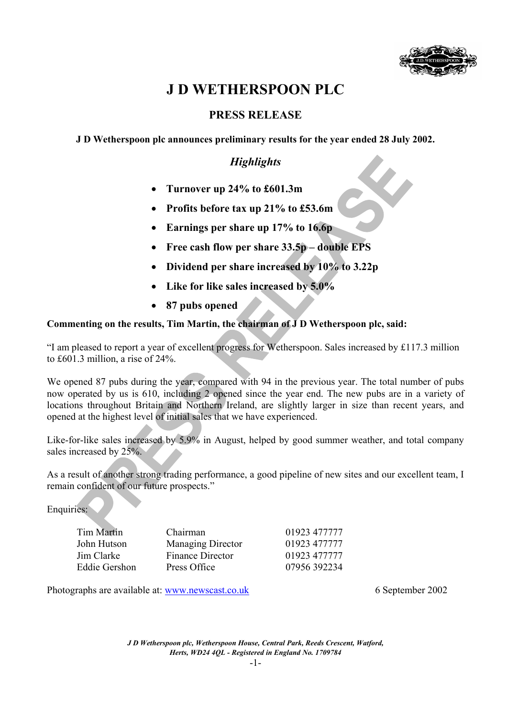

# **J D WETHERSPOON PLC**

## **PRESS RELEASE**

**J D Wetherspoon plc announces preliminary results for the year ended 28 July 2002.**

# *Highlights*

- **Turnover up 24% to £601.3m**
- **Profits before tax up 21% to £53.6m**
- **Earnings per share up 17% to 16.6p**
- **Free cash flow per share 33.5p double EPS**
- **Dividend per share increased by 10% to 3.22p**
- **Like for like sales increased by 5.0%**
- **87 pubs opened**

## **Commenting on the results, Tim Martin, the chairman of J D Wetherspoon plc, said:**

"I am pleased to report a year of excellent progress for Wetherspoon. Sales increased by £117.3 million to £601.3 million, a rise of 24%.

We opened 87 pubs during the year, compared with 94 in the previous year. The total number of pubs now operated by us is 610, including 2 opened since the year end. The new pubs are in a variety of locations throughout Britain and Northern Ireland, are slightly larger in size than recent years, and opened at the highest level of initial sales that we have experienced.

Like-for-like sales increased by 5.9% in August, helped by good summer weather, and total company sales increased by 25%.

As a result of another strong trading performance, a good pipeline of new sites and our excellent team, I remain confident of our future prospects."

Enquiries:

| <b>Tim Martin</b>    | Chairman                 | 01923 477777 |
|----------------------|--------------------------|--------------|
| John Hutson          | <b>Managing Director</b> | 01923 477777 |
| Jim Clarke           | Finance Director         | 01923 477777 |
| <b>Eddie Gershon</b> | Press Office             | 07956 392234 |

Photographs are available at: www.newscast.co.uk 6 September 2002

*J D Wetherspoon plc, Wetherspoon House, Central Park, Reeds Crescent, Watford, Herts, WD24 4QL - Registered in England No. 1709784*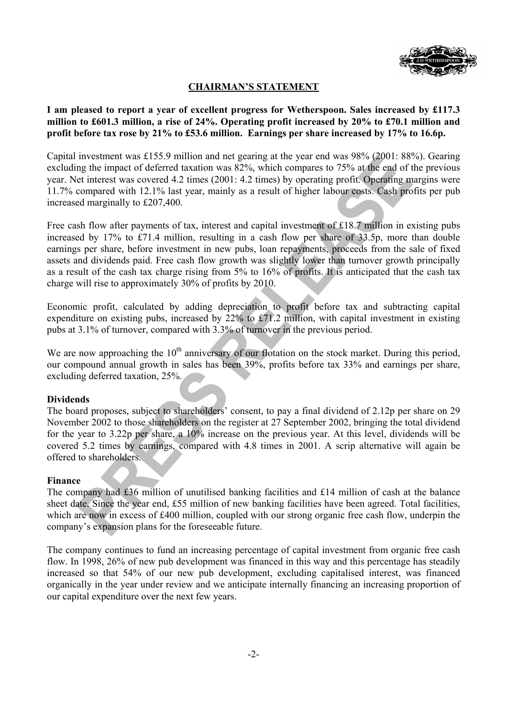

## **CHAIRMAN'S STATEMENT**

**I am pleased to report a year of excellent progress for Wetherspoon. Sales increased by £117.3 million to £601.3 million, a rise of 24%. Operating profit increased by 20% to £70.1 million and profit before tax rose by 21% to £53.6 million. Earnings per share increased by 17% to 16.6p.** 

Capital investment was £155.9 million and net gearing at the year end was 98% (2001: 88%). Gearing excluding the impact of deferred taxation was 82%, which compares to 75% at the end of the previous year. Net interest was covered 4.2 times (2001: 4.2 times) by operating profit. Operating margins were 11.7% compared with 12.1% last year, mainly as a result of higher labour costs. Cash profits per pub increased marginally to £207,400.

Free cash flow after payments of tax, interest and capital investment of £18.7 million in existing pubs increased by 17% to £71.4 million, resulting in a cash flow per share of 33.5p, more than double earnings per share, before investment in new pubs, loan repayments, proceeds from the sale of fixed assets and dividends paid. Free cash flow growth was slightly lower than turnover growth principally as a result of the cash tax charge rising from 5% to 16% of profits. It is anticipated that the cash tax charge will rise to approximately 30% of profits by 2010.

Economic profit, calculated by adding depreciation to profit before tax and subtracting capital expenditure on existing pubs, increased by 22% to £71.2 million, with capital investment in existing pubs at 3.1% of turnover, compared with 3.3% of turnover in the previous period.

We are now approaching the  $10<sup>th</sup>$  anniversary of our flotation on the stock market. During this period, our compound annual growth in sales has been 39%, profits before tax 33% and earnings per share, excluding deferred taxation, 25%.

#### **Dividends**

The board proposes, subject to shareholders' consent, to pay a final dividend of 2.12p per share on 29 November 2002 to those shareholders on the register at 27 September 2002, bringing the total dividend for the year to 3.22p per share, a 10% increase on the previous year. At this level, dividends will be covered 5.2 times by earnings, compared with 4.8 times in 2001. A scrip alternative will again be offered to shareholders.

#### **Finance**

The company had £36 million of unutilised banking facilities and £14 million of cash at the balance sheet date. Since the year end, £55 million of new banking facilities have been agreed. Total facilities, which are now in excess of £400 million, coupled with our strong organic free cash flow, underpin the company's expansion plans for the foreseeable future.

The company continues to fund an increasing percentage of capital investment from organic free cash flow. In 1998, 26% of new pub development was financed in this way and this percentage has steadily increased so that 54% of our new pub development, excluding capitalised interest, was financed organically in the year under review and we anticipate internally financing an increasing proportion of our capital expenditure over the next few years.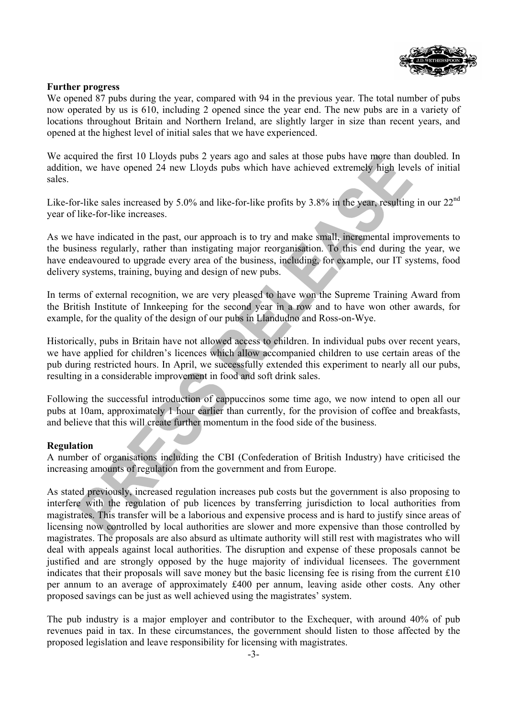

### **Further progress**

We opened 87 pubs during the year, compared with 94 in the previous year. The total number of pubs now operated by us is 610, including 2 opened since the year end. The new pubs are in a variety of locations throughout Britain and Northern Ireland, are slightly larger in size than recent years, and opened at the highest level of initial sales that we have experienced.

We acquired the first 10 Lloyds pubs 2 years ago and sales at those pubs have more than doubled. In addition, we have opened 24 new Lloyds pubs which have achieved extremely high levels of initial sales.

Like-for-like sales increased by 5.0% and like-for-like profits by 3.8% in the year, resulting in our 22<sup>nd</sup> year of like-for-like increases.

As we have indicated in the past, our approach is to try and make small, incremental improvements to the business regularly, rather than instigating major reorganisation. To this end during the year, we have endeavoured to upgrade every area of the business, including, for example, our IT systems, food delivery systems, training, buying and design of new pubs.

In terms of external recognition, we are very pleased to have won the Supreme Training Award from the British Institute of Innkeeping for the second year in a row and to have won other awards, for example, for the quality of the design of our pubs in Llandudno and Ross-on-Wye.

Historically, pubs in Britain have not allowed access to children. In individual pubs over recent years, we have applied for children's licences which allow accompanied children to use certain areas of the pub during restricted hours. In April, we successfully extended this experiment to nearly all our pubs, resulting in a considerable improvement in food and soft drink sales.

Following the successful introduction of cappuccinos some time ago, we now intend to open all our pubs at 10am, approximately 1 hour earlier than currently, for the provision of coffee and breakfasts, and believe that this will create further momentum in the food side of the business.

#### **Regulation**

A number of organisations including the CBI (Confederation of British Industry) have criticised the increasing amounts of regulation from the government and from Europe.

As stated previously, increased regulation increases pub costs but the government is also proposing to interfere with the regulation of pub licences by transferring jurisdiction to local authorities from magistrates. This transfer will be a laborious and expensive process and is hard to justify since areas of licensing now controlled by local authorities are slower and more expensive than those controlled by magistrates. The proposals are also absurd as ultimate authority will still rest with magistrates who will deal with appeals against local authorities. The disruption and expense of these proposals cannot be justified and are strongly opposed by the huge majority of individual licensees. The government indicates that their proposals will save money but the basic licensing fee is rising from the current £10 per annum to an average of approximately £400 per annum, leaving aside other costs. Any other proposed savings can be just as well achieved using the magistrates' system.

The pub industry is a major employer and contributor to the Exchequer, with around 40% of pub revenues paid in tax. In these circumstances, the government should listen to those affected by the proposed legislation and leave responsibility for licensing with magistrates.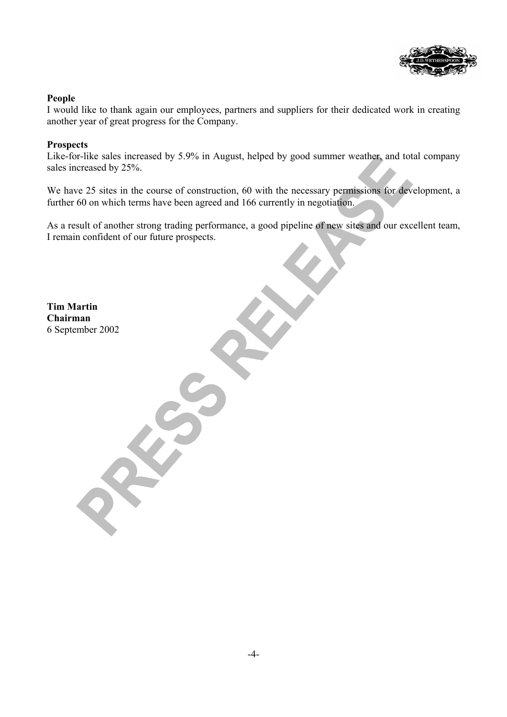

### **People**

I would like to thank again our employees, partners and suppliers for their dedicated work in creating another year of great progress for the Company.

## **Prospects**

Like-for-like sales increased by 5.9% in August, helped by good summer weather, and total company sales increased by 25%.

We have 25 sites in the course of construction, 60 with the necessary permissions for development, a further 60 on which terms have been agreed and 166 currently in negotiation.

As a result of another strong trading performance, a good pipeline of new sites and our excellent team, I remain confident of our future prospects.

**Tim Martin Chairman**  6 September 2002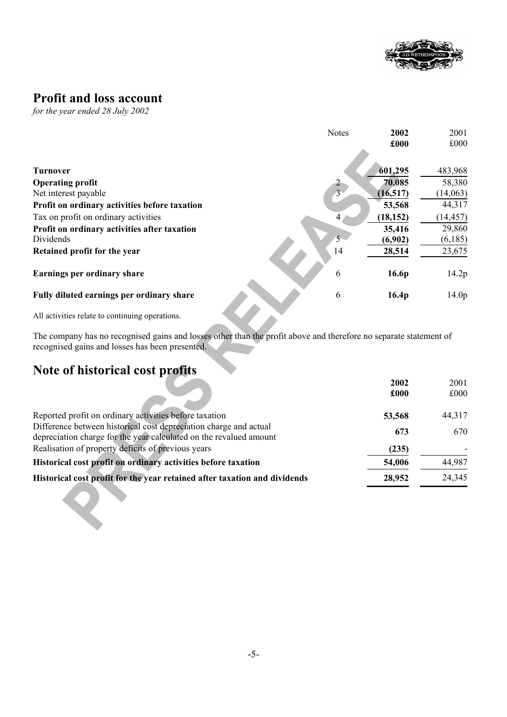

# **Profit and loss account**

*for the year ended 28 July 2002* 

|                                               | <b>Notes</b>   | 2002              | 2001              |
|-----------------------------------------------|----------------|-------------------|-------------------|
|                                               |                | £000              | £000              |
|                                               |                |                   |                   |
| <b>Turnover</b>                               |                | 601,295           | 483,968           |
| <b>Operating profit</b>                       |                | 70,085            | 58,380            |
| Net interest payable                          | $\overline{3}$ | (16, 517)         | (14,063)          |
| Profit on ordinary activities before taxation |                | 53,568            | 44,317            |
| Tax on profit on ordinary activities          | 4              | (18, 152)         | (14, 457)         |
| Profit on ordinary activities after taxation  |                | 35,416            | 29,860            |
| Dividends                                     | 5 <sup>1</sup> | (6,902)           | (6,185)           |
| Retained profit for the year                  | 14             | 28,514            | 23,675            |
|                                               |                |                   |                   |
| Earnings per ordinary share                   | 6              | 16.6p             | 14.2p             |
|                                               |                |                   |                   |
| Fully diluted earnings per ordinary share     | 6              | 16.4 <sub>p</sub> | 14.0 <sub>p</sub> |
|                                               |                |                   |                   |

All activities relate to continuing operations.

The company has no recognised gains and losses other than the profit above and therefore no separate statement of recognised gains and losses has been presented.

# **Note of historical cost profits**

|                                                                                                                                         | 2002   | 2001   |
|-----------------------------------------------------------------------------------------------------------------------------------------|--------|--------|
|                                                                                                                                         | £000   | £000   |
| Reported profit on ordinary activities before taxation                                                                                  | 53,568 | 44,317 |
| Difference between historical cost depreciation charge and actual<br>depreciation charge for the year calculated on the revalued amount | 673    | 670    |
| Realisation of property deficits of previous years                                                                                      | (235)  |        |
| Historical cost profit on ordinary activities before taxation                                                                           | 54,006 | 44,987 |
| Historical cost profit for the year retained after taxation and dividends                                                               | 28,952 | 24,345 |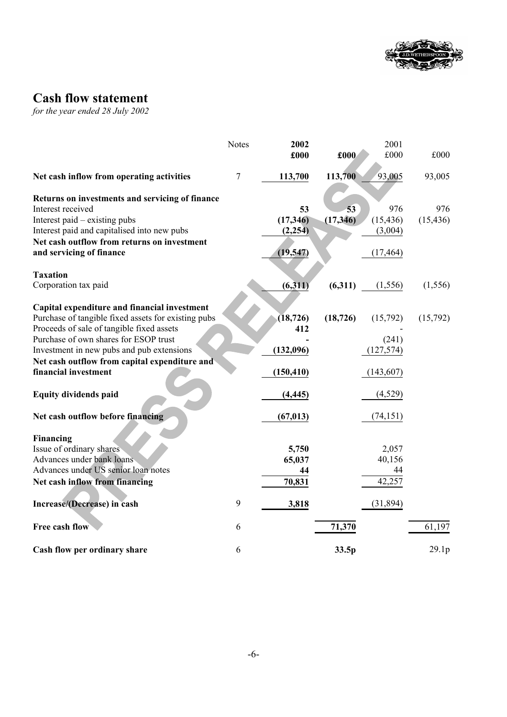

# **Cash flow statement**

*for the year ended 28 July 2002* 

|                                                     | <b>Notes</b>   | 2002            |           | 2001       |           |
|-----------------------------------------------------|----------------|-----------------|-----------|------------|-----------|
|                                                     |                | £000            | £000      | £000       | £000      |
| Net cash inflow from operating activities           | $\overline{7}$ | 113,700         | 113,700   | 93,005     | 93,005    |
| Returns on investments and servicing of finance     |                |                 |           |            |           |
| Interest received                                   |                | 53              | 53        | 976        | 976       |
| Interest paid – existing pubs                       |                | (17, 346)       | (17, 346) | (15, 436)  | (15, 436) |
| Interest paid and capitalised into new pubs         |                | (2, 254)        |           | (3,004)    |           |
| Net cash outflow from returns on investment         |                |                 |           |            |           |
| and servicing of finance                            |                | (19, 547)       |           | (17, 464)  |           |
| <b>Taxation</b>                                     |                |                 |           |            |           |
| Corporation tax paid                                |                | (6,311)         | (6,311)   | (1, 556)   | (1, 556)  |
| Capital expenditure and financial investment        |                |                 |           |            |           |
| Purchase of tangible fixed assets for existing pubs |                | (18, 726)       | (18, 726) | (15,792)   | (15,792)  |
| Proceeds of sale of tangible fixed assets           |                | 412             |           |            |           |
| Purchase of own shares for ESOP trust               |                |                 |           | (241)      |           |
| Investment in new pubs and pub extensions           |                | (132,096)       |           | (127, 574) |           |
| Net cash outflow from capital expenditure and       |                |                 |           |            |           |
| financial investment                                |                | (150, 410)      |           | (143,607)  |           |
|                                                     |                |                 |           |            |           |
| <b>Equity dividends paid</b>                        |                | (4, 445)        |           | (4,529)    |           |
|                                                     |                |                 |           |            |           |
| Net cash outflow before financing                   |                | (67, 013)       |           | (74, 151)  |           |
|                                                     |                |                 |           |            |           |
| Financing<br>Issue of ordinary shares               |                |                 |           | 2,057      |           |
| Advances under bank loans                           |                | 5,750<br>65,037 |           | 40,156     |           |
| Advances under US senior loan notes                 |                | 44              |           | 44         |           |
| Net cash inflow from financing                      |                | 70,831          |           | 42,257     |           |
|                                                     |                |                 |           |            |           |
| Increase/(Decrease) in cash                         | 9              | 3,818           |           | (31, 894)  |           |
| Free cash flow                                      |                |                 |           |            | 61,197    |
|                                                     | 6              |                 | 71,370    |            |           |
| Cash flow per ordinary share                        | 6              |                 | 33.5p     |            | 29.1p     |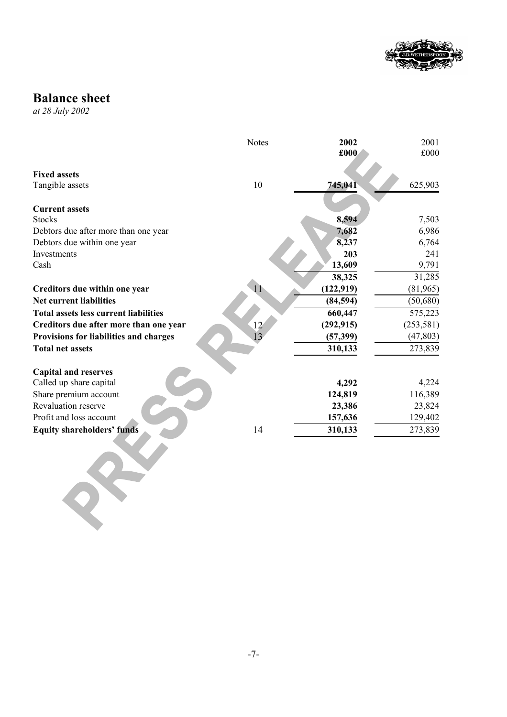

# **Balance sheet**

*at 28 July 2002*

|                                              | <b>Notes</b>    | 2002       | 2001       |
|----------------------------------------------|-----------------|------------|------------|
|                                              |                 | £000       | £000       |
|                                              |                 |            |            |
| <b>Fixed assets</b>                          |                 |            |            |
| Tangible assets                              | 10              | 745,041    | 625,903    |
| <b>Current assets</b>                        |                 |            |            |
| <b>Stocks</b>                                |                 | 8,594      | 7,503      |
| Debtors due after more than one year         |                 | 7,682      | 6,986      |
| Debtors due within one year                  |                 | 8,237      | 6,764      |
| Investments                                  |                 | 203        | 241        |
| Cash                                         |                 | 13,609     | 9,791      |
|                                              |                 | 38,325     | 31,285     |
| Creditors due within one year                | $\mathbf{1}$    | (122, 919) | (81,965)   |
| <b>Net current liabilities</b>               |                 | (84, 594)  | (50,680)   |
| <b>Total assets less current liabilities</b> |                 | 660,447    | 575,223    |
| Creditors due after more than one year       | 12              | (292, 915) | (253, 581) |
| Provisions for liabilities and charges       | $\overline{13}$ | (57, 399)  | (47, 803)  |
| <b>Total net assets</b>                      |                 | 310,133    | 273,839    |
|                                              |                 |            |            |
| <b>Capital and reserves</b>                  |                 |            |            |
| Called up share capital                      |                 | 4,292      | 4,224      |
| Share premium account                        |                 | 124,819    | 116,389    |
| Revaluation reserve                          |                 | 23,386     | 23,824     |
| Profit and loss account                      |                 | 157,636    | 129,402    |
| <b>Equity shareholders' funds</b>            | 14              | 310,133    | 273,839    |
|                                              |                 |            |            |
|                                              |                 |            |            |
|                                              |                 |            |            |
|                                              |                 |            |            |
|                                              |                 |            |            |
|                                              |                 |            |            |
|                                              |                 |            |            |
|                                              |                 |            |            |
|                                              |                 |            |            |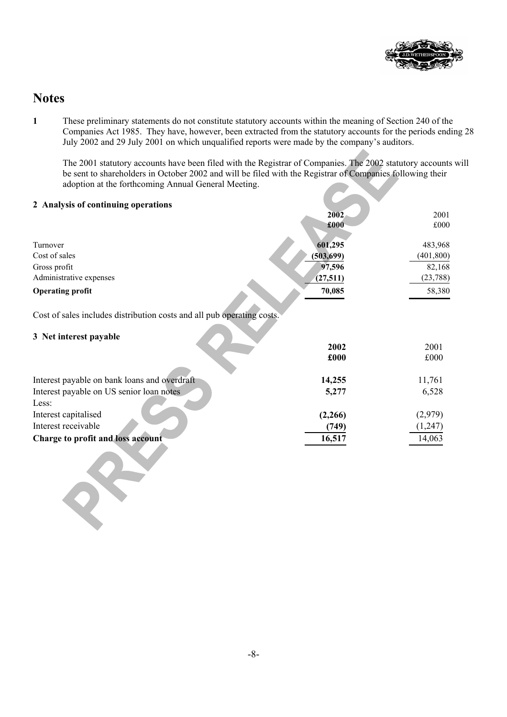

# **Notes**

 $2^{k}$ 

**1** These preliminary statements do not constitute statutory accounts within the meaning of Section 240 of the Companies Act 1985. They have, however, been extracted from the statutory accounts for the periods ending 28 July 2002 and 29 July 2001 on which unqualified reports were made by the company's auditors.

The 2001 statutory accounts have been filed with the Registrar of Companies. The 2002 statutory accounts will be sent to shareholders in October 2002 and will be filed with the Registrar of Companies following their adoption at the forthcoming Annual General Meeting.

| 2 Analysis of continuing operations                                    |            |            |
|------------------------------------------------------------------------|------------|------------|
|                                                                        | 2002       | 2001       |
|                                                                        | £000       | £000       |
|                                                                        |            |            |
| Turnover                                                               | 601,295    | 483,968    |
| Cost of sales                                                          | (503, 699) | (401, 800) |
| Gross profit                                                           | 97,596     | 82,168     |
| Administrative expenses                                                | (27, 511)  | (23, 788)  |
| <b>Operating profit</b>                                                | 70,085     | 58,380     |
|                                                                        |            |            |
| Cost of sales includes distribution costs and all pub operating costs. |            |            |
|                                                                        |            |            |
| 3 Net interest payable                                                 |            |            |
|                                                                        | 2002       | 2001       |
|                                                                        | £000       | £000       |
| Interest payable on bank loans and overdraft                           |            | 11,761     |
|                                                                        | 14,255     |            |
| Interest payable on US senior loan notes                               | 5,277      | 6,528      |
| Less:                                                                  |            |            |
| Interest capitalised                                                   | (2,266)    | (2,979)    |
| Interest receivable                                                    | (749)      | (1,247)    |
| <b>Charge to profit and loss account</b>                               | 16,517     | 14,063     |
|                                                                        |            |            |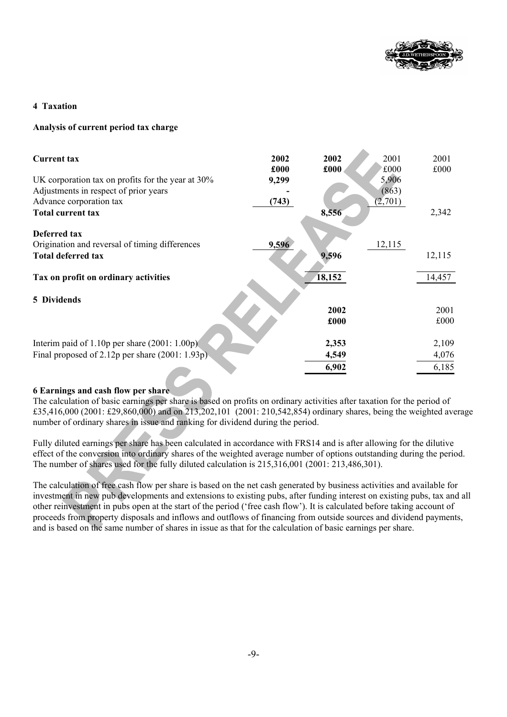

### **4 Taxation**

### **Analysis of current period tax charge**

| <b>Current tax</b>                                   | 2002<br>£000 | 2002   | 2001<br>f000 | 2001<br>£000 |
|------------------------------------------------------|--------------|--------|--------------|--------------|
| UK corporation tax on profits for the year at $30\%$ | 9,299        | £000   | 5,906        |              |
| Adjustments in respect of prior years                |              |        | (863)        |              |
| Advance corporation tax                              | (743)        |        | (2,701)      |              |
| <b>Total current tax</b>                             |              | 8,556  |              | 2,342        |
| <b>Deferred tax</b>                                  |              |        |              |              |
| Origination and reversal of timing differences       | 9,596        |        | 12,115       |              |
| <b>Total deferred tax</b>                            |              | 9,596  |              | 12,115       |
| Tax on profit on ordinary activities                 |              | 18,152 |              | 14,457       |
| 5 Dividends                                          |              |        |              |              |
|                                                      |              | 2002   |              | 2001         |
|                                                      |              | £000   |              | £000         |
| Interim paid of 1.10p per share $(2001: 1.00p)$      |              | 2,353  |              | 2,109        |
| Final proposed of 2.12p per share $(2001: 1.93p)$    |              | 4,549  |              | 4,076        |
|                                                      |              | 6,902  |              | 6,185        |

#### **6 Earnings and cash flow per share**

The calculation of basic earnings per share is based on profits on ordinary activities after taxation for the period of £35,416,000 (2001: £29,860,000) and on 213,202,101 (2001: 210,542,854) ordinary shares, being the weighted average number of ordinary shares in issue and ranking for dividend during the period.

Fully diluted earnings per share has been calculated in accordance with FRS14 and is after allowing for the dilutive effect of the conversion into ordinary shares of the weighted average number of options outstanding during the period. The number of shares used for the fully diluted calculation is 215,316,001 (2001: 213,486,301).

The calculation of free cash flow per share is based on the net cash generated by business activities and available for investment in new pub developments and extensions to existing pubs, after funding interest on existing pubs, tax and all other reinvestment in pubs open at the start of the period ('free cash flow'). It is calculated before taking account of proceeds from property disposals and inflows and outflows of financing from outside sources and dividend payments, and is based on the same number of shares in issue as that for the calculation of basic earnings per share.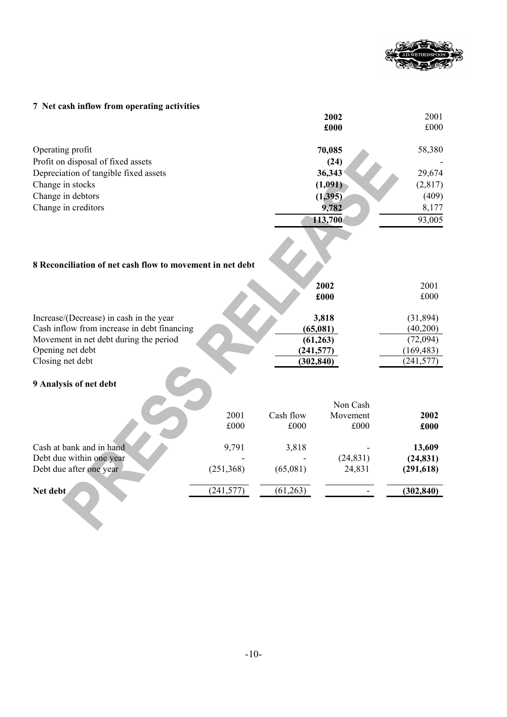

# **7 Net cash inflow from operating activities**

|                                                           |            |            | 2002      | 2001       |
|-----------------------------------------------------------|------------|------------|-----------|------------|
|                                                           |            |            | £000      | £000       |
| Operating profit                                          |            |            | 70,085    | 58,380     |
| Profit on disposal of fixed assets                        |            |            | (24)      |            |
| Depreciation of tangible fixed assets                     |            |            | 36,343    | 29,674     |
| Change in stocks                                          |            |            | (1,091)   | (2,817)    |
| Change in debtors                                         |            |            | (1,395)   | (409)      |
| Change in creditors                                       |            |            | 9,782     | 8,177      |
|                                                           |            |            | 113,700   | 93,005     |
| 8 Reconciliation of net cash flow to movement in net debt |            |            |           |            |
|                                                           |            |            | 2002      | 2001       |
|                                                           |            |            | £000      | £000       |
| Increase/(Decrease) in cash in the year                   |            |            | 3,818     | (31, 894)  |
| Cash inflow from increase in debt financing               |            |            | (65,081)  | (40,200)   |
| Movement in net debt during the period                    |            |            | (61, 263) | (72,094)   |
| Opening net debt                                          |            | (241, 577) |           | (169, 483) |
| Closing net debt                                          |            | (302, 840) |           | (241, 577) |
| 9 Analysis of net debt                                    |            |            |           |            |
|                                                           |            |            | Non Cash  |            |
|                                                           | 2001       | Cash flow  | Movement  | 2002       |
|                                                           | £000       | £000       | £000      | £000       |
| Cash at bank and in hand                                  | 9,791      | 3,818      |           | 13,609     |
| Debt due within one year                                  |            |            | (24, 831) | (24, 831)  |
| Debt due after one year                                   | (251, 368) | (65,081)   | 24,831    | (291, 618) |
| Net debt                                                  | (241, 577) | (61, 263)  |           | (302, 840) |
|                                                           |            |            |           |            |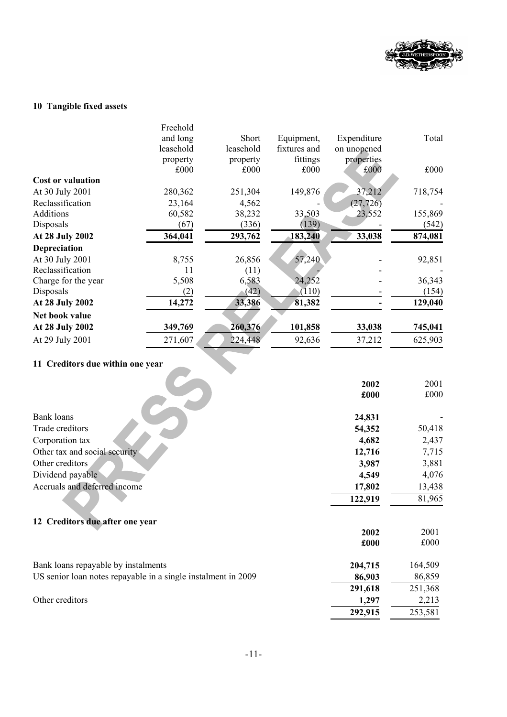

# **10 Tangible fixed assets**

|                                  | Freehold  |           |              |             |         |
|----------------------------------|-----------|-----------|--------------|-------------|---------|
|                                  | and long  | Short     | Equipment,   | Expenditure | Total   |
|                                  | leasehold | leasehold | fixtures and | on unopened |         |
|                                  | property  | property  | fittings     | properties  |         |
|                                  | £000      | £000      | £000         | £000        | £000    |
| <b>Cost or valuation</b>         |           |           |              |             |         |
| At 30 July 2001                  | 280,362   | 251,304   | 149,876      | 37,212      | 718,754 |
| Reclassification                 | 23,164    | 4,562     |              | (27, 726)   |         |
| Additions                        | 60,582    | 38,232    | 33,503       | 23,552      | 155,869 |
| Disposals                        | (67)      | (336)     | (139)        |             | (542)   |
| At 28 July 2002                  | 364,041   | 293,762   | 183,240      | 33,038      | 874,081 |
| Depreciation                     |           |           |              |             |         |
| At 30 July 2001                  | 8,755     | 26,856    | 57,240       |             | 92,851  |
| Reclassification                 | 11        | (11)      |              |             |         |
| Charge for the year              | 5,508     | 6,583     | 24,252       |             | 36,343  |
| Disposals                        | (2)       | (42)      | (110)        |             | (154)   |
| At 28 July 2002                  | 14,272    | 33,386    | 81,382       |             | 129,040 |
| Net book value                   |           |           |              |             |         |
| At 28 July 2002                  | 349,769   | 260,376   | 101,858      | 33,038      | 745,041 |
| At 29 July 2001                  | 271,607   | 224,448   | 92,636       | 37,212      | 625,903 |
| 11 Creditors due within one year |           |           |              |             |         |

|                                                               | 2002    | 2001    |
|---------------------------------------------------------------|---------|---------|
|                                                               | £000    | £000    |
|                                                               |         |         |
| <b>Bank loans</b>                                             | 24,831  |         |
| Trade creditors                                               | 54,352  | 50,418  |
| Corporation tax                                               | 4,682   | 2,437   |
| Other tax and social security                                 | 12,716  | 7,715   |
| Other creditors                                               | 3,987   | 3,881   |
| Dividend payable                                              | 4,549   | 4,076   |
| Accruals and deferred income                                  | 17,802  | 13,438  |
|                                                               | 122,919 | 81,965  |
| 12 Creditors due after one year                               |         |         |
|                                                               | 2002    | 2001    |
|                                                               | £000    | £000    |
| Bank loans repayable by instalments                           | 204,715 | 164,509 |
| US senior loan notes repayable in a single instalment in 2009 | 86,903  | 86,859  |
|                                                               | 291,618 | 251,368 |
| Other creditors                                               | 1,297   | 2,213   |
|                                                               | 292,915 | 253,581 |